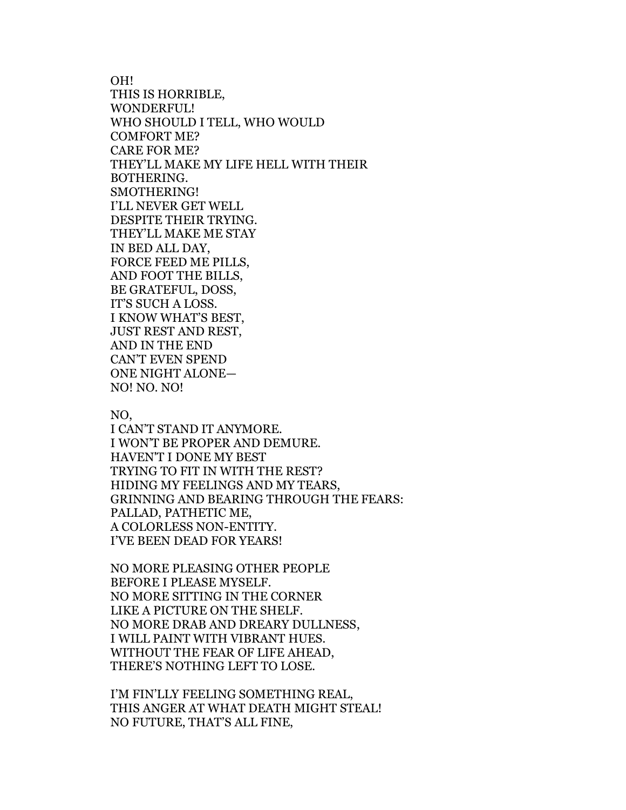OH! THIS IS HORRIBLE, WONDERFUL! WHO SHOULD I TELL, WHO WOULD COMFORT ME? CARE FOR ME? THEY'LL MAKE MY LIFE HELL WITH THEIR BOTHERING. SMOTHERING! I'LL NEVER GET WELL DESPITE THEIR TRYING. THEY'LL MAKE ME STAY IN BED ALL DAY, FORCE FEED ME PILLS, AND FOOT THE BILLS, BE GRATEFUL, DOSS, IT'S SUCH A LOSS. I KNOW WHAT'S BEST, JUST REST AND REST, AND IN THE END CAN'T EVEN SPEND ONE NIGHT ALONE— NO! NO. NO!

NO,

I CAN'T STAND IT ANYMORE. I WON'T BE PROPER AND DEMURE. HAVEN'T I DONE MY BEST TRYING TO FIT IN WITH THE REST? HIDING MY FEELINGS AND MY TEARS, GRINNING AND BEARING THROUGH THE FEARS: PALLAD, PATHETIC ME, A COLORLESS NON-ENTITY. I'VE BEEN DEAD FOR YEARS!

NO MORE PLEASING OTHER PEOPLE BEFORE I PLEASE MYSELF. NO MORE SITTING IN THE CORNER LIKE A PICTURE ON THE SHELF. NO MORE DRAB AND DREARY DULLNESS, I WILL PAINT WITH VIBRANT HUES. WITHOUT THE FEAR OF LIFE AHEAD, THERE'S NOTHING LEFT TO LOSE.

I'M FIN'LLY FEELING SOMETHING REAL, THIS ANGER AT WHAT DEATH MIGHT STEAL! NO FUTURE, THAT'S ALL FINE,